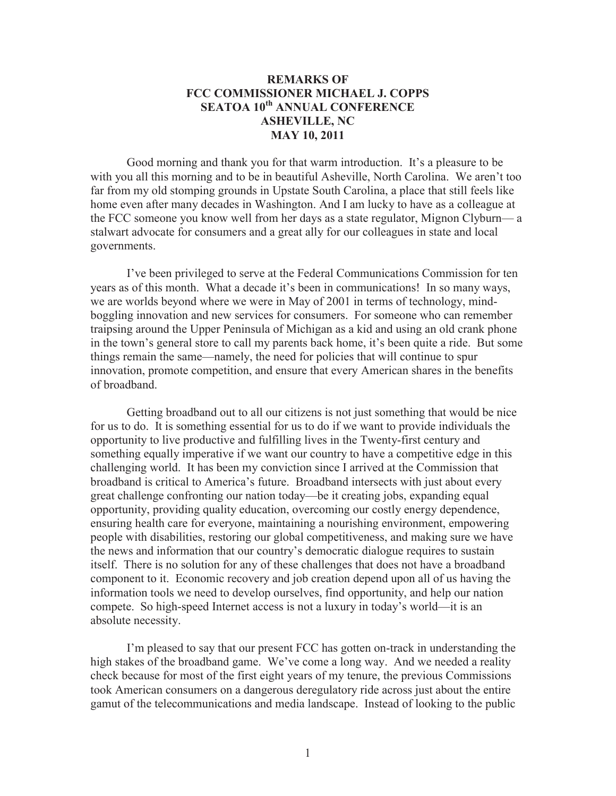## **REMARKS OF FCC COMMISSIONER MICHAEL J. COPPS SEATOA 10th ANNUAL CONFERENCE ASHEVILLE, NC MAY 10, 2011**

Good morning and thank you for that warm introduction. It's a pleasure to be with you all this morning and to be in beautiful Asheville, North Carolina. We aren't too far from my old stomping grounds in Upstate South Carolina, a place that still feels like home even after many decades in Washington. And I am lucky to have as a colleague at the FCC someone you know well from her days as a state regulator, Mignon Clyburn— a stalwart advocate for consumers and a great ally for our colleagues in state and local governments.

I've been privileged to serve at the Federal Communications Commission for ten years as of this month. What a decade it's been in communications! In so many ways, we are worlds beyond where we were in May of 2001 in terms of technology, mindboggling innovation and new services for consumers. For someone who can remember traipsing around the Upper Peninsula of Michigan as a kid and using an old crank phone in the town's general store to call my parents back home, it's been quite a ride. But some things remain the same—namely, the need for policies that will continue to spur innovation, promote competition, and ensure that every American shares in the benefits of broadband.

Getting broadband out to all our citizens is not just something that would be nice for us to do. It is something essential for us to do if we want to provide individuals the opportunity to live productive and fulfilling lives in the Twenty-first century and something equally imperative if we want our country to have a competitive edge in this challenging world. It has been my conviction since I arrived at the Commission that broadband is critical to America's future. Broadband intersects with just about every great challenge confronting our nation today—be it creating jobs, expanding equal opportunity, providing quality education, overcoming our costly energy dependence, ensuring health care for everyone, maintaining a nourishing environment, empowering people with disabilities, restoring our global competitiveness, and making sure we have the news and information that our country's democratic dialogue requires to sustain itself. There is no solution for any of these challenges that does not have a broadband component to it. Economic recovery and job creation depend upon all of us having the information tools we need to develop ourselves, find opportunity, and help our nation compete. So high-speed Internet access is not a luxury in today's world—it is an absolute necessity.

I'm pleased to say that our present FCC has gotten on-track in understanding the high stakes of the broadband game. We've come a long way. And we needed a reality check because for most of the first eight years of my tenure, the previous Commissions took American consumers on a dangerous deregulatory ride across just about the entire gamut of the telecommunications and media landscape. Instead of looking to the public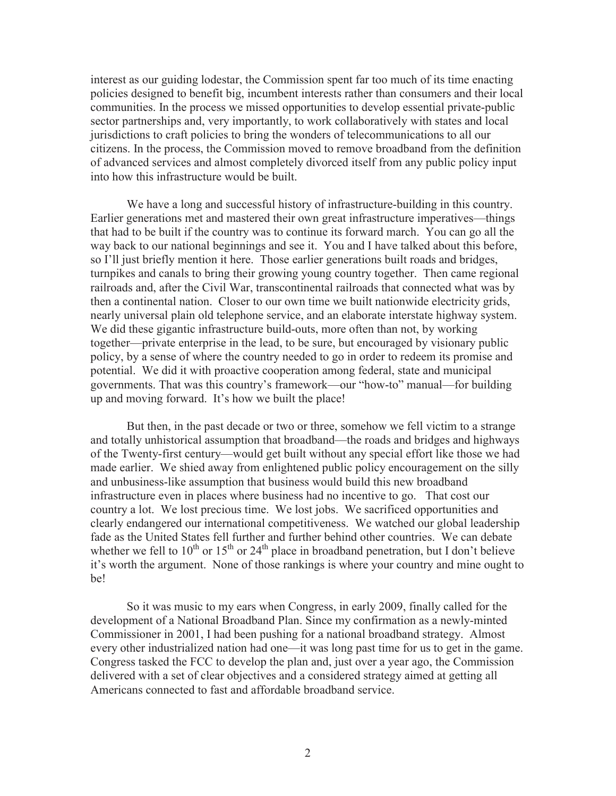interest as our guiding lodestar, the Commission spent far too much of its time enacting policies designed to benefit big, incumbent interests rather than consumers and their local communities. In the process we missed opportunities to develop essential private-public sector partnerships and, very importantly, to work collaboratively with states and local jurisdictions to craft policies to bring the wonders of telecommunications to all our citizens. In the process, the Commission moved to remove broadband from the definition of advanced services and almost completely divorced itself from any public policy input into how this infrastructure would be built.

We have a long and successful history of infrastructure-building in this country. Earlier generations met and mastered their own great infrastructure imperatives—things that had to be built if the country was to continue its forward march. You can go all the way back to our national beginnings and see it. You and I have talked about this before, so I'll just briefly mention it here. Those earlier generations built roads and bridges, turnpikes and canals to bring their growing young country together. Then came regional railroads and, after the Civil War, transcontinental railroads that connected what was by then a continental nation. Closer to our own time we built nationwide electricity grids, nearly universal plain old telephone service, and an elaborate interstate highway system. We did these gigantic infrastructure build-outs, more often than not, by working together—private enterprise in the lead, to be sure, but encouraged by visionary public policy, by a sense of where the country needed to go in order to redeem its promise and potential. We did it with proactive cooperation among federal, state and municipal governments. That was this country's framework—our "how-to" manual—for building up and moving forward. It's how we built the place!

But then, in the past decade or two or three, somehow we fell victim to a strange and totally unhistorical assumption that broadband—the roads and bridges and highways of the Twenty-first century—would get built without any special effort like those we had made earlier. We shied away from enlightened public policy encouragement on the silly and unbusiness-like assumption that business would build this new broadband infrastructure even in places where business had no incentive to go. That cost our country a lot. We lost precious time. We lost jobs. We sacrificed opportunities and clearly endangered our international competitiveness. We watched our global leadership fade as the United States fell further and further behind other countries. We can debate whether we fell to  $10^{th}$  or  $15^{th}$  or  $24^{th}$  place in broadband penetration, but I don't believe it's worth the argument. None of those rankings is where your country and mine ought to be!

So it was music to my ears when Congress, in early 2009, finally called for the development of a National Broadband Plan. Since my confirmation as a newly-minted Commissioner in 2001, I had been pushing for a national broadband strategy. Almost every other industrialized nation had one—it was long past time for us to get in the game. Congress tasked the FCC to develop the plan and, just over a year ago, the Commission delivered with a set of clear objectives and a considered strategy aimed at getting all Americans connected to fast and affordable broadband service.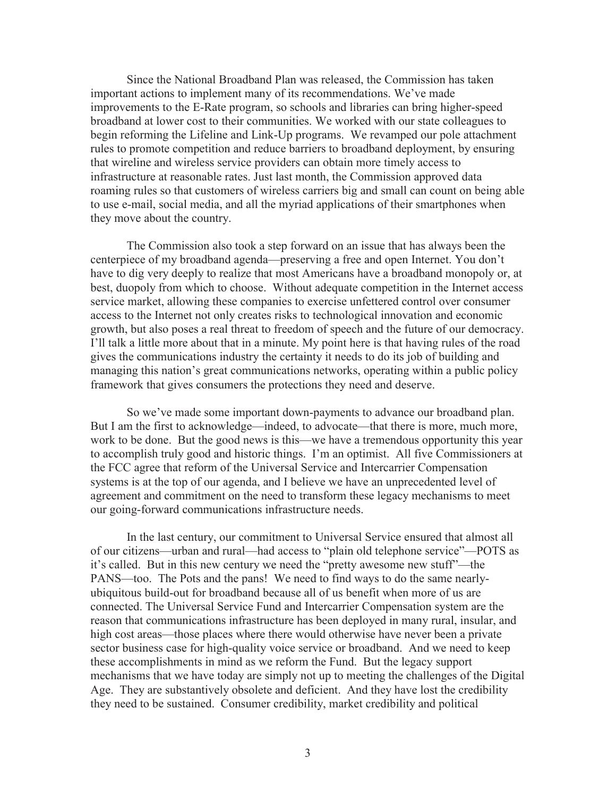Since the National Broadband Plan was released, the Commission has taken important actions to implement many of its recommendations. We've made improvements to the E-Rate program, so schools and libraries can bring higher-speed broadband at lower cost to their communities. We worked with our state colleagues to begin reforming the Lifeline and Link-Up programs. We revamped our pole attachment rules to promote competition and reduce barriers to broadband deployment, by ensuring that wireline and wireless service providers can obtain more timely access to infrastructure at reasonable rates. Just last month, the Commission approved data roaming rules so that customers of wireless carriers big and small can count on being able to use e-mail, social media, and all the myriad applications of their smartphones when they move about the country.

The Commission also took a step forward on an issue that has always been the centerpiece of my broadband agenda—preserving a free and open Internet. You don't have to dig very deeply to realize that most Americans have a broadband monopoly or, at best, duopoly from which to choose. Without adequate competition in the Internet access service market, allowing these companies to exercise unfettered control over consumer access to the Internet not only creates risks to technological innovation and economic growth, but also poses a real threat to freedom of speech and the future of our democracy. I'll talk a little more about that in a minute. My point here is that having rules of the road gives the communications industry the certainty it needs to do its job of building and managing this nation's great communications networks, operating within a public policy framework that gives consumers the protections they need and deserve.

So we've made some important down-payments to advance our broadband plan. But I am the first to acknowledge—indeed, to advocate—that there is more, much more, work to be done. But the good news is this—we have a tremendous opportunity this year to accomplish truly good and historic things. I'm an optimist. All five Commissioners at the FCC agree that reform of the Universal Service and Intercarrier Compensation systems is at the top of our agenda, and I believe we have an unprecedented level of agreement and commitment on the need to transform these legacy mechanisms to meet our going-forward communications infrastructure needs.

In the last century, our commitment to Universal Service ensured that almost all of our citizens—urban and rural—had access to "plain old telephone service"—POTS as it's called. But in this new century we need the "pretty awesome new stuff"—the PANS—too. The Pots and the pans! We need to find ways to do the same nearlyubiquitous build-out for broadband because all of us benefit when more of us are connected. The Universal Service Fund and Intercarrier Compensation system are the reason that communications infrastructure has been deployed in many rural, insular, and high cost areas—those places where there would otherwise have never been a private sector business case for high-quality voice service or broadband. And we need to keep these accomplishments in mind as we reform the Fund. But the legacy support mechanisms that we have today are simply not up to meeting the challenges of the Digital Age. They are substantively obsolete and deficient. And they have lost the credibility they need to be sustained. Consumer credibility, market credibility and political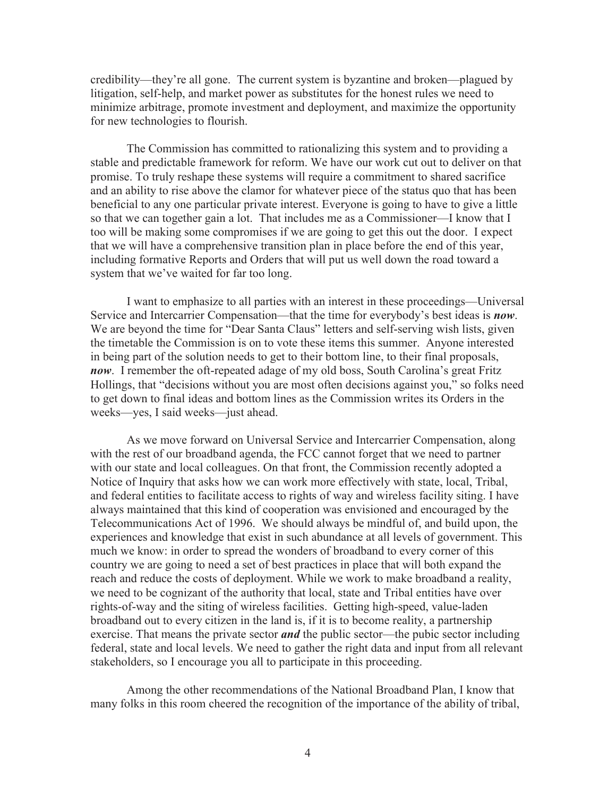credibility—they're all gone. The current system is byzantine and broken—plagued by litigation, self-help, and market power as substitutes for the honest rules we need to minimize arbitrage, promote investment and deployment, and maximize the opportunity for new technologies to flourish.

The Commission has committed to rationalizing this system and to providing a stable and predictable framework for reform. We have our work cut out to deliver on that promise. To truly reshape these systems will require a commitment to shared sacrifice and an ability to rise above the clamor for whatever piece of the status quo that has been beneficial to any one particular private interest. Everyone is going to have to give a little so that we can together gain a lot. That includes me as a Commissioner—I know that I too will be making some compromises if we are going to get this out the door. I expect that we will have a comprehensive transition plan in place before the end of this year, including formative Reports and Orders that will put us well down the road toward a system that we've waited for far too long.

I want to emphasize to all parties with an interest in these proceedings—Universal Service and Intercarrier Compensation—that the time for everybody's best ideas is *now*. We are beyond the time for "Dear Santa Claus" letters and self-serving wish lists, given the timetable the Commission is on to vote these items this summer. Anyone interested in being part of the solution needs to get to their bottom line, to their final proposals, *now*. I remember the oft-repeated adage of my old boss, South Carolina's great Fritz Hollings, that "decisions without you are most often decisions against you," so folks need to get down to final ideas and bottom lines as the Commission writes its Orders in the weeks—yes, I said weeks—just ahead.

As we move forward on Universal Service and Intercarrier Compensation, along with the rest of our broadband agenda, the FCC cannot forget that we need to partner with our state and local colleagues. On that front, the Commission recently adopted a Notice of Inquiry that asks how we can work more effectively with state, local, Tribal, and federal entities to facilitate access to rights of way and wireless facility siting. I have always maintained that this kind of cooperation was envisioned and encouraged by the Telecommunications Act of 1996. We should always be mindful of, and build upon, the experiences and knowledge that exist in such abundance at all levels of government. This much we know: in order to spread the wonders of broadband to every corner of this country we are going to need a set of best practices in place that will both expand the reach and reduce the costs of deployment. While we work to make broadband a reality, we need to be cognizant of the authority that local, state and Tribal entities have over rights-of-way and the siting of wireless facilities. Getting high-speed, value-laden broadband out to every citizen in the land is, if it is to become reality, a partnership exercise. That means the private sector *and* the public sector—the pubic sector including federal, state and local levels. We need to gather the right data and input from all relevant stakeholders, so I encourage you all to participate in this proceeding.

Among the other recommendations of the National Broadband Plan, I know that many folks in this room cheered the recognition of the importance of the ability of tribal,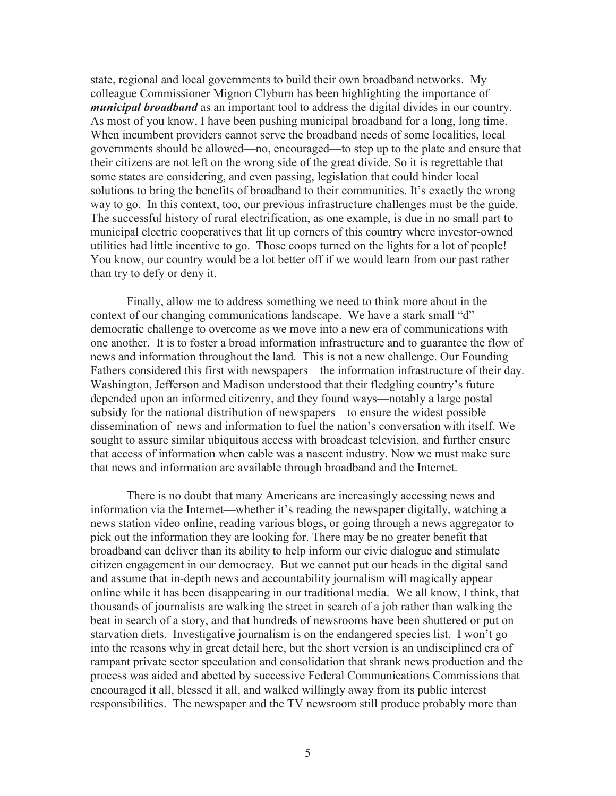state, regional and local governments to build their own broadband networks. My colleague Commissioner Mignon Clyburn has been highlighting the importance of *municipal broadband* as an important tool to address the digital divides in our country. As most of you know, I have been pushing municipal broadband for a long, long time. When incumbent providers cannot serve the broadband needs of some localities, local governments should be allowed—no, encouraged—to step up to the plate and ensure that their citizens are not left on the wrong side of the great divide. So it is regrettable that some states are considering, and even passing, legislation that could hinder local solutions to bring the benefits of broadband to their communities. It's exactly the wrong way to go. In this context, too, our previous infrastructure challenges must be the guide. The successful history of rural electrification, as one example, is due in no small part to municipal electric cooperatives that lit up corners of this country where investor-owned utilities had little incentive to go. Those coops turned on the lights for a lot of people! You know, our country would be a lot better off if we would learn from our past rather than try to defy or deny it.

Finally, allow me to address something we need to think more about in the context of our changing communications landscape. We have a stark small "d" democratic challenge to overcome as we move into a new era of communications with one another. It is to foster a broad information infrastructure and to guarantee the flow of news and information throughout the land. This is not a new challenge. Our Founding Fathers considered this first with newspapers—the information infrastructure of their day. Washington, Jefferson and Madison understood that their fledgling country's future depended upon an informed citizenry, and they found ways—notably a large postal subsidy for the national distribution of newspapers—to ensure the widest possible dissemination of news and information to fuel the nation's conversation with itself. We sought to assure similar ubiquitous access with broadcast television, and further ensure that access of information when cable was a nascent industry. Now we must make sure that news and information are available through broadband and the Internet.

There is no doubt that many Americans are increasingly accessing news and information via the Internet—whether it's reading the newspaper digitally, watching a news station video online, reading various blogs, or going through a news aggregator to pick out the information they are looking for. There may be no greater benefit that broadband can deliver than its ability to help inform our civic dialogue and stimulate citizen engagement in our democracy. But we cannot put our heads in the digital sand and assume that in-depth news and accountability journalism will magically appear online while it has been disappearing in our traditional media. We all know, I think, that thousands of journalists are walking the street in search of a job rather than walking the beat in search of a story, and that hundreds of newsrooms have been shuttered or put on starvation diets. Investigative journalism is on the endangered species list. I won't go into the reasons why in great detail here, but the short version is an undisciplined era of rampant private sector speculation and consolidation that shrank news production and the process was aided and abetted by successive Federal Communications Commissions that encouraged it all, blessed it all, and walked willingly away from its public interest responsibilities. The newspaper and the TV newsroom still produce probably more than